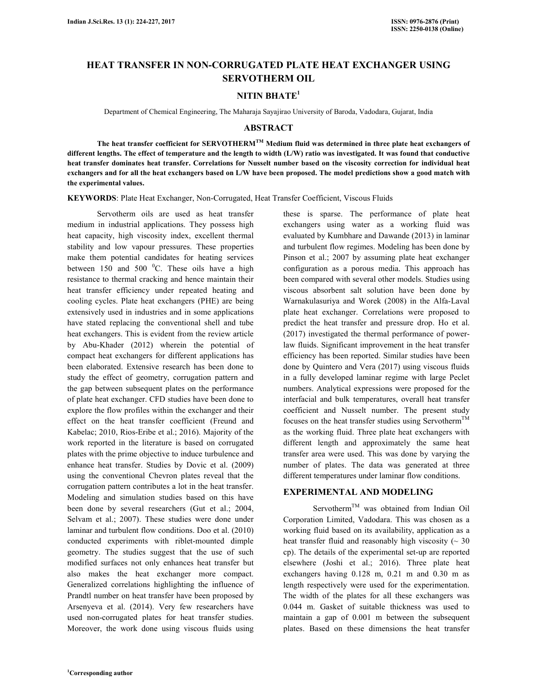# **HEAT TRANSFER IN NON-CORRUGATED PLATE HEAT EXCHANGER USING SERVOTHERM OIL**

#### **NITIN BHATE<sup>1</sup>**

Department of Chemical Engineering, The Maharaja Sayajirao University of Baroda, Vadodara, Gujarat, India

# **ABSTRACT**

 **The heat transfer coefficient for SERVOTHERMTM Medium fluid was determined in three plate heat exchangers of different lengths. The effect of temperature and the length to width (L/W) ratio was investigated. It was found that conductive heat transfer dominates heat transfer. Correlations for Nusselt number based on the viscosity correction for individual heat exchangers and for all the heat exchangers based on L/W have been proposed. The model predictions show a good match with the experimental values.** 

**KEYWORDS**: Plate Heat Exchanger, Non-Corrugated, Heat Transfer Coefficient, Viscous Fluids

 Servotherm oils are used as heat transfer medium in industrial applications. They possess high heat capacity, high viscosity index, excellent thermal stability and low vapour pressures. These properties make them potential candidates for heating services between 150 and 500  $^{\circ}$ C. These oils have a high resistance to thermal cracking and hence maintain their heat transfer efficiency under repeated heating and cooling cycles. Plate heat exchangers (PHE) are being extensively used in industries and in some applications have stated replacing the conventional shell and tube heat exchangers. This is evident from the review article by Abu-Khader (2012) wherein the potential of compact heat exchangers for different applications has been elaborated. Extensive research has been done to study the effect of geometry, corrugation pattern and the gap between subsequent plates on the performance of plate heat exchanger. CFD studies have been done to explore the flow profiles within the exchanger and their effect on the heat transfer coefficient (Freund and Kabelac; 2010, Rios-Eribe et al.; 2016). Majority of the work reported in the literature is based on corrugated plates with the prime objective to induce turbulence and enhance heat transfer. Studies by Dovic et al. (2009) using the conventional Chevron plates reveal that the corrugation pattern contributes a lot in the heat transfer. Modeling and simulation studies based on this have been done by several researchers (Gut et al.; 2004, Selvam et al.; 2007). These studies were done under laminar and turbulent flow conditions. Doo et al. (2010) conducted experiments with riblet-mounted dimple geometry. The studies suggest that the use of such modified surfaces not only enhances heat transfer but also makes the heat exchanger more compact. Generalized correlations highlighting the influence of Prandtl number on heat transfer have been proposed by Arsenyeva et al. (2014). Very few researchers have used non-corrugated plates for heat transfer studies. Moreover, the work done using viscous fluids using

these is sparse. The performance of plate heat exchangers using water as a working fluid was evaluated by Kumbhare and Dawande (2013) in laminar and turbulent flow regimes. Modeling has been done by Pinson et al.; 2007 by assuming plate heat exchanger configuration as a porous media. This approach has been compared with several other models. Studies using viscous absorbent salt solution have been done by Warnakulasuriya and Worek (2008) in the Alfa-Laval plate heat exchanger. Correlations were proposed to predict the heat transfer and pressure drop. Ho et al. (2017) investigated the thermal performance of powerlaw fluids. Significant improvement in the heat transfer efficiency has been reported. Similar studies have been done by Quintero and Vera (2017) using viscous fluids in a fully developed laminar regime with large Peclet numbers. Analytical expressions were proposed for the interfacial and bulk temperatures, overall heat transfer coefficient and Nusselt number. The present study focuses on the heat transfer studies using Servotherm<sup>TM</sup> as the working fluid. Three plate heat exchangers with different length and approximately the same heat transfer area were used. This was done by varying the number of plates. The data was generated at three different temperatures under laminar flow conditions.

# **EXPERIMENTAL AND MODELING**

Servotherm<sup>TM</sup> was obtained from Indian Oil Corporation Limited, Vadodara. This was chosen as a working fluid based on its availability, application as a heat transfer fluid and reasonably high viscosity  $($   $\sim$  30 cp). The details of the experimental set-up are reported elsewhere (Joshi et al.; 2016). Three plate heat exchangers having 0.128 m, 0.21 m and 0.30 m as length respectively were used for the experimentation. The width of the plates for all these exchangers was 0.044 m. Gasket of suitable thickness was used to maintain a gap of 0.001 m between the subsequent plates. Based on these dimensions the heat transfer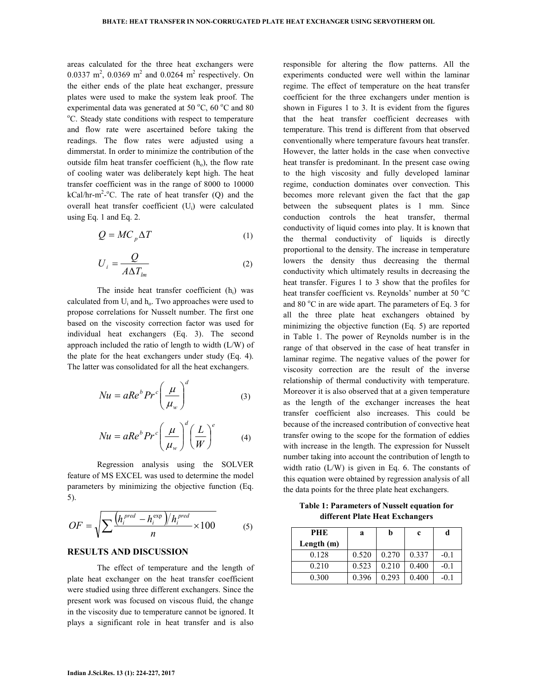areas calculated for the three heat exchangers were 0.0337 m<sup>2</sup>, 0.0369 m<sup>2</sup> and 0.0264 m<sup>2</sup> respectively. On the either ends of the plate heat exchanger, pressure plates were used to make the system leak proof. The experimental data was generated at 50  $^{\circ}$ C, 60  $^{\circ}$ C and 80 <sup>o</sup>C. Steady state conditions with respect to temperature and flow rate were ascertained before taking the readings. The flow rates were adjusted using a dimmerstat. In order to minimize the contribution of the outside film heat transfer coefficient  $(h_0)$ , the flow rate of cooling water was deliberately kept high. The heat transfer coefficient was in the range of 8000 to 10000 kCal/hr-m<sup>2</sup>-<sup>o</sup>C. The rate of heat transfer (Q) and the overall heat transfer coefficient (Ui) were calculated using Eq. 1 and Eq. 2.

$$
Q = MC_p \Delta T \tag{1}
$$

$$
U_i = \frac{Q}{A\Delta T_{lm}}\tag{2}
$$

The inside heat transfer coefficient  $(h_i)$  was calculated from  $U_i$  and  $h_o$ . Two approaches were used to propose correlations for Nusselt number. The first one based on the viscosity correction factor was used for individual heat exchangers (Eq. 3). The second approach included the ratio of length to width (L/W) of the plate for the heat exchangers under study (Eq. 4). The latter was consolidated for all the heat exchangers.

$$
Nu = aReb Prc \left(\frac{\mu}{\mu_w}\right)^d
$$
 (3)

$$
Nu = aReb Prc \left(\frac{\mu}{\mu_w}\right)^d \left(\frac{L}{W}\right)^e \tag{4}
$$

 Regression analysis using the SOLVER feature of MS EXCEL was used to determine the model parameters by minimizing the objective function (Eq. 5).

$$
OF = \sqrt{\sum \frac{\left(h_i^{pred} - h_i^{exp}\right)/h_i^{pred}}{n}} \times 100
$$
 (5)

### **RESULTS AND DISCUSSION**

 The effect of temperature and the length of plate heat exchanger on the heat transfer coefficient were studied using three different exchangers. Since the present work was focused on viscous fluid, the change in the viscosity due to temperature cannot be ignored. It plays a significant role in heat transfer and is also

responsible for altering the flow patterns. All the experiments conducted were well within the laminar regime. The effect of temperature on the heat transfer coefficient for the three exchangers under mention is shown in Figures 1 to 3. It is evident from the figures that the heat transfer coefficient decreases with temperature. This trend is different from that observed conventionally where temperature favours heat transfer. However, the latter holds in the case when convective heat transfer is predominant. In the present case owing to the high viscosity and fully developed laminar regime, conduction dominates over convection. This becomes more relevant given the fact that the gap between the subsequent plates is 1 mm. Since conduction controls the heat transfer, thermal conductivity of liquid comes into play. It is known that the thermal conductivity of liquids is directly proportional to the density. The increase in temperature lowers the density thus decreasing the thermal conductivity which ultimately results in decreasing the heat transfer. Figures 1 to 3 show that the profiles for heat transfer coefficient vs. Reynolds' number at 50 $\mathrm{^{\circ}C}$ and 80  $^{\circ}$ C in are wide apart. The parameters of Eq. 3 for all the three plate heat exchangers obtained by minimizing the objective function (Eq. 5) are reported in Table 1. The power of Reynolds number is in the range of that observed in the case of heat transfer in laminar regime. The negative values of the power for viscosity correction are the result of the inverse relationship of thermal conductivity with temperature. Moreover it is also observed that at a given temperature as the length of the exchanger increases the heat transfer coefficient also increases. This could be because of the increased contribution of convective heat transfer owing to the scope for the formation of eddies with increase in the length. The expression for Nusselt number taking into account the contribution of length to width ratio (L/W) is given in Eq. 6. The constants of this equation were obtained by regression analysis of all the data points for the three plate heat exchangers.

**Table 1: Parameters of Nusselt equation for different Plate Heat Exchangers** 

| PHE        | a     | h     | c     |        |
|------------|-------|-------|-------|--------|
| Length (m) |       |       |       |        |
| 0.128      | 0.520 | 0.270 | 0.337 | $-0.1$ |
| 0.210      | 0.523 | 0.210 | 0.400 | $-0.1$ |
| 0.300      | 0.396 | 0.293 | 0.400 | -01    |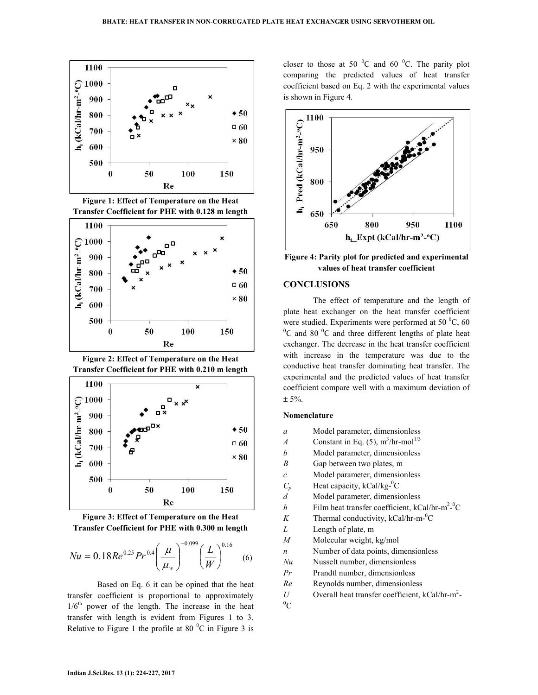





**Figure 2: Effect of Temperature on the Heat Transfer Coefficient for PHE with 0.210 m length** 





$$
Nu = 0.18Re0.25Pr0.4\left(\frac{\mu}{\mu_w}\right)^{-0.099}\left(\frac{L}{W}\right)^{0.16}
$$
 (6)

 Based on Eq. 6 it can be opined that the heat transfer coefficient is proportional to approximately  $1/6<sup>th</sup>$  power of the length. The increase in the heat transfer with length is evident from Figures 1 to 3. Relative to Figure 1 the profile at 80 $\degree$ C in Figure 3 is

closer to those at 50 $\degree$ C and 60 $\degree$ C. The parity plot comparing the predicted values of heat transfer coefficient based on Eq. 2 with the experimental values is shown in Figure 4.



**Figure 4: Parity plot for predicted and experimental values of heat transfer coefficient** 

#### **CONCLUSIONS**

 The effect of temperature and the length of plate heat exchanger on the heat transfer coefficient were studied. Experiments were performed at 50 $\degree$ C, 60  ${}^{0}C$  and 80  ${}^{0}C$  and three different lengths of plate heat exchanger. The decrease in the heat transfer coefficient with increase in the temperature was due to the conductive heat transfer dominating heat transfer. The experimental and the predicted values of heat transfer coefficient compare well with a maximum deviation of  $± 5\%$ .

## **Nomenclature**

- *a* Model parameter, dimensionless
- *A* Constant in Eq. (5),  $m^3/hr$ -mol<sup>1/3</sup>
- *b* Model parameter, dimensionless
- *B* Gap between two plates, m
- *c* Model parameter, dimensionless
- $C_p$  Heat capacity, kCal/kg<sup>-0</sup>C
- *d* Model parameter, dimensionless
- *h* Film heat transfer coefficient, kCal/hr-m<sup>2-o</sup>C
- *K* Thermal conductivity,  $kCal/hr-m<sup>0</sup>C$
- *L* Length of plate, m
- *M* Molecular weight, kg/mol
- *n* Number of data points, dimensionless
- *Nu* Nusselt number, dimensionless
- *Pr* Prandtl number, dimensionless
- *Re* Reynolds number, dimensionless
- *U* Overall heat transfer coefficient,  $kCal/hr-m^2$ -
- ${}^0C$